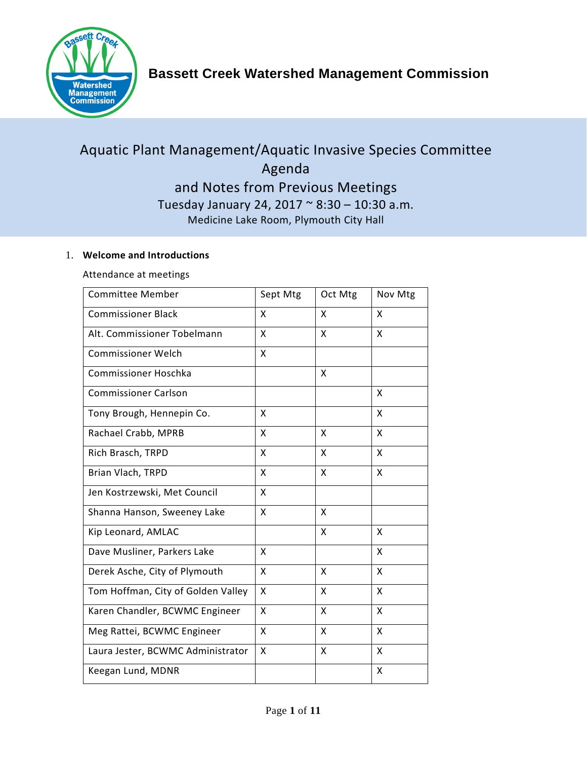

# Aquatic Plant Management/Aquatic Invasive Species Committee Agenda and Notes from Previous Meetings Tuesday January 24, 2017 ~ 8:30 – 10:30 a.m. Medicine Lake Room, Plymouth City Hall

#### 1. **Welcome and Introductions**

Attendance at meetings

| <b>Committee Member</b>            | Sept Mtg | Oct Mtg | Nov Mtg |
|------------------------------------|----------|---------|---------|
| <b>Commissioner Black</b>          | X        | X       | X       |
| Alt. Commissioner Tobelmann        | X        | X       | X       |
| <b>Commissioner Welch</b>          | X        |         |         |
| <b>Commissioner Hoschka</b>        |          | X       |         |
| <b>Commissioner Carlson</b>        |          |         | X       |
| Tony Brough, Hennepin Co.          | X        |         | X       |
| Rachael Crabb, MPRB                | X        | X       | X       |
| Rich Brasch, TRPD                  | X        | X       | X       |
| Brian Vlach, TRPD                  | X        | X       | X       |
| Jen Kostrzewski, Met Council       | X        |         |         |
| Shanna Hanson, Sweeney Lake        | X        | X       |         |
| Kip Leonard, AMLAC                 |          | X       | X       |
| Dave Musliner, Parkers Lake        | X        |         | X       |
| Derek Asche, City of Plymouth      | X        | X       | X       |
| Tom Hoffman, City of Golden Valley | X        | X       | X       |
| Karen Chandler, BCWMC Engineer     | X        | X       | X       |
| Meg Rattei, BCWMC Engineer         | X        | X       | X       |
| Laura Jester, BCWMC Administrator  | X        | X       | X       |
| Keegan Lund, MDNR                  |          |         | X       |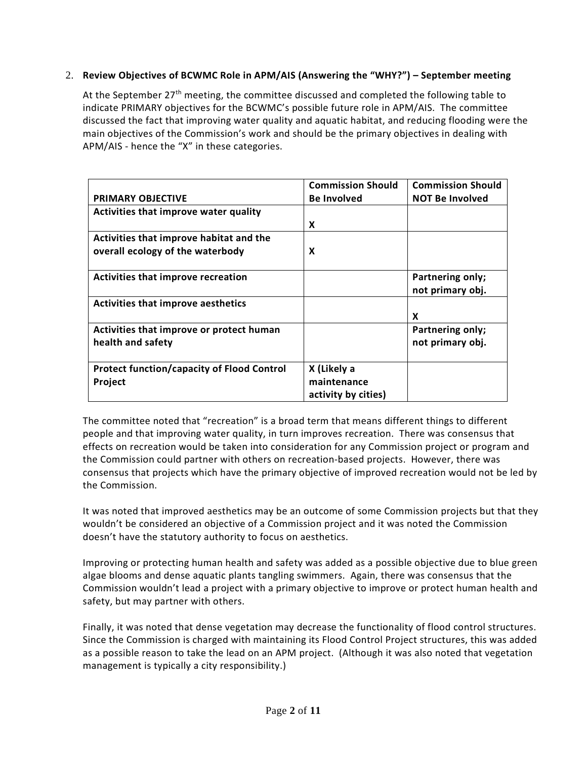#### 2. **Review Objectives of BCWMC Role in APM/AIS (Answering the "WHY?") – September meeting**

At the September 27<sup>th</sup> meeting, the committee discussed and completed the following table to indicate PRIMARY objectives for the BCWMC's possible future role in APM/AIS. The committee discussed the fact that improving water quality and aquatic habitat, and reducing flooding were the main objectives of the Commission's work and should be the primary objectives in dealing with APM/AIS - hence the "X" in these categories.

|                                                   | <b>Commission Should</b> | <b>Commission Should</b>             |
|---------------------------------------------------|--------------------------|--------------------------------------|
| <b>PRIMARY OBJECTIVE</b>                          | <b>Be Involved</b>       | <b>NOT Be Involved</b>               |
| Activities that improve water quality             |                          |                                      |
|                                                   | X                        |                                      |
| Activities that improve habitat and the           |                          |                                      |
| overall ecology of the waterbody                  | X                        |                                      |
| Activities that improve recreation                |                          | Partnering only;<br>not primary obj. |
| Activities that improve aesthetics                |                          |                                      |
|                                                   |                          | X                                    |
| Activities that improve or protect human          |                          | Partnering only;                     |
| health and safety                                 |                          | not primary obj.                     |
| <b>Protect function/capacity of Flood Control</b> | X (Likely a              |                                      |
| Project                                           | maintenance              |                                      |
|                                                   | activity by cities)      |                                      |

The committee noted that "recreation" is a broad term that means different things to different people and that improving water quality, in turn improves recreation. There was consensus that effects on recreation would be taken into consideration for any Commission project or program and the Commission could partner with others on recreation-based projects. However, there was consensus that projects which have the primary objective of improved recreation would not be led by the Commission.

It was noted that improved aesthetics may be an outcome of some Commission projects but that they wouldn't be considered an objective of a Commission project and it was noted the Commission doesn't have the statutory authority to focus on aesthetics.

Improving or protecting human health and safety was added as a possible objective due to blue green algae blooms and dense aquatic plants tangling swimmers. Again, there was consensus that the Commission wouldn't lead a project with a primary objective to improve or protect human health and safety, but may partner with others.

Finally, it was noted that dense vegetation may decrease the functionality of flood control structures. Since the Commission is charged with maintaining its Flood Control Project structures, this was added as a possible reason to take the lead on an APM project. (Although it was also noted that vegetation management is typically a city responsibility.)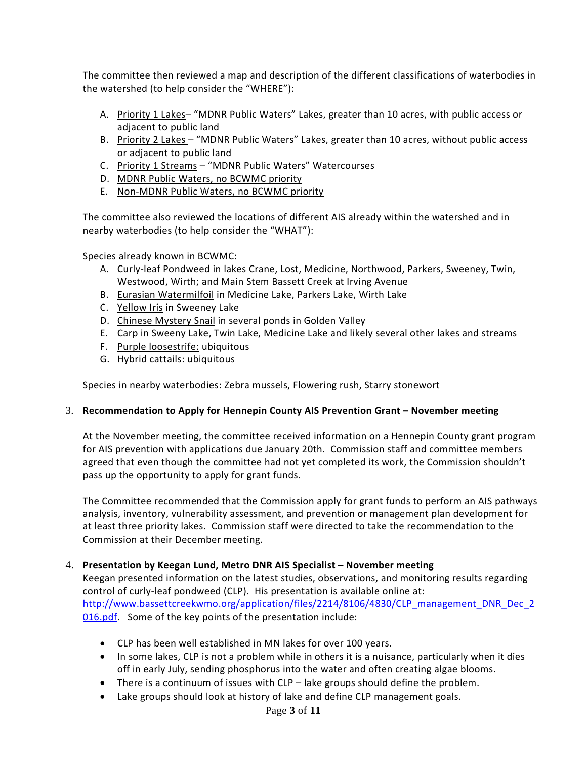The committee then reviewed a map and description of the different classifications of waterbodies in the watershed (to help consider the "WHERE"):

- A. Priority 1 Lakes- "MDNR Public Waters" Lakes, greater than 10 acres, with public access or adjacent to public land
- B. Priority 2 Lakes "MDNR Public Waters" Lakes, greater than 10 acres, without public access or adjacent to public land
- C. Priority 1 Streams "MDNR Public Waters" Watercourses
- D. MDNR Public Waters, no BCWMC priority
- E. Non-MDNR Public Waters, no BCWMC priority

The committee also reviewed the locations of different AIS already within the watershed and in nearby waterbodies (to help consider the "WHAT"):

Species already known in BCWMC:

- A. Curly-leaf Pondweed in lakes Crane, Lost, Medicine, Northwood, Parkers, Sweeney, Twin, Westwood, Wirth; and Main Stem Bassett Creek at Irving Avenue
- B. Eurasian Watermilfoil in Medicine Lake, Parkers Lake, Wirth Lake
- C. Yellow Iris in Sweeney Lake
- D. Chinese Mystery Snail in several ponds in Golden Valley
- E. Carp in Sweeny Lake, Twin Lake, Medicine Lake and likely several other lakes and streams
- F. Purple loosestrife: ubiquitous
- G. Hybrid cattails: ubiquitous

Species in nearby waterbodies: Zebra mussels, Flowering rush, Starry stonewort

#### 3. **Recommendation to Apply for Hennepin County AIS Prevention Grant – November meeting**

At the November meeting, the committee received information on a Hennepin County grant program for AIS prevention with applications due January 20th. Commission staff and committee members agreed that even though the committee had not yet completed its work, the Commission shouldn't pass up the opportunity to apply for grant funds.

The Committee recommended that the Commission apply for grant funds to perform an AIS pathways analysis, inventory, vulnerability assessment, and prevention or management plan development for at least three priority lakes. Commission staff were directed to take the recommendation to the Commission at their December meeting.

#### 4. **Presentation by Keegan Lund, Metro DNR AIS Specialist – November meeting**

Keegan presented information on the latest studies, observations, and monitoring results regarding control of curly-leaf pondweed (CLP). His presentation is available online at: [http://www.bassettcreekwmo.org/application/files/2214/8106/4830/CLP\\_management\\_DNR\\_Dec\\_2](http://www.bassettcreekwmo.org/application/files/2214/8106/4830/CLP_management_DNR_Dec_2016.pdf) [016.pdf.](http://www.bassettcreekwmo.org/application/files/2214/8106/4830/CLP_management_DNR_Dec_2016.pdf) Some of the key points of the presentation include:

- CLP has been well established in MN lakes for over 100 years.
- In some lakes, CLP is not a problem while in others it is a nuisance, particularly when it dies off in early July, sending phosphorus into the water and often creating algae blooms.
- There is a continuum of issues with CLP lake groups should define the problem.
- Lake groups should look at history of lake and define CLP management goals.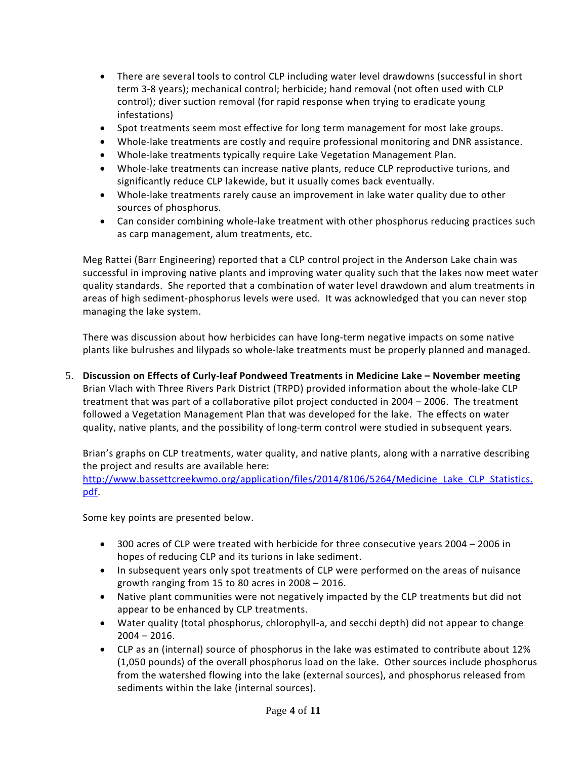- There are several tools to control CLP including water level drawdowns (successful in short term 3-8 years); mechanical control; herbicide; hand removal (not often used with CLP control); diver suction removal (for rapid response when trying to eradicate young infestations)
- Spot treatments seem most effective for long term management for most lake groups.
- Whole-lake treatments are costly and require professional monitoring and DNR assistance.
- Whole-lake treatments typically require Lake Vegetation Management Plan.
- Whole-lake treatments can increase native plants, reduce CLP reproductive turions, and significantly reduce CLP lakewide, but it usually comes back eventually.
- Whole-lake treatments rarely cause an improvement in lake water quality due to other sources of phosphorus.
- Can consider combining whole-lake treatment with other phosphorus reducing practices such as carp management, alum treatments, etc.

Meg Rattei (Barr Engineering) reported that a CLP control project in the Anderson Lake chain was successful in improving native plants and improving water quality such that the lakes now meet water quality standards. She reported that a combination of water level drawdown and alum treatments in areas of high sediment-phosphorus levels were used. It was acknowledged that you can never stop managing the lake system.

There was discussion about how herbicides can have long-term negative impacts on some native plants like bulrushes and lilypads so whole-lake treatments must be properly planned and managed.

5. **Discussion on Effects of Curly-leaf Pondweed Treatments in Medicine Lake – November meeting** Brian Vlach with Three Rivers Park District (TRPD) provided information about the whole-lake CLP treatment that was part of a collaborative pilot project conducted in 2004 – 2006. The treatment followed a Vegetation Management Plan that was developed for the lake. The effects on water quality, native plants, and the possibility of long-term control were studied in subsequent years.

Brian's graphs on CLP treatments, water quality, and native plants, along with a narrative describing the project and results are available here:

[http://www.bassettcreekwmo.org/application/files/2014/8106/5264/Medicine\\_Lake\\_CLP\\_Statistics.](http://www.bassettcreekwmo.org/application/files/2014/8106/5264/Medicine_Lake_CLP_Statistics.pdf) [pdf.](http://www.bassettcreekwmo.org/application/files/2014/8106/5264/Medicine_Lake_CLP_Statistics.pdf)

Some key points are presented below.

- 300 acres of CLP were treated with herbicide for three consecutive years 2004 2006 in hopes of reducing CLP and its turions in lake sediment.
- In subsequent years only spot treatments of CLP were performed on the areas of nuisance growth ranging from 15 to 80 acres in 2008 – 2016.
- Native plant communities were not negatively impacted by the CLP treatments but did not appear to be enhanced by CLP treatments.
- Water quality (total phosphorus, chlorophyll-a, and secchi depth) did not appear to change  $2004 - 2016$ .
- CLP as an (internal) source of phosphorus in the lake was estimated to contribute about 12% (1,050 pounds) of the overall phosphorus load on the lake. Other sources include phosphorus from the watershed flowing into the lake (external sources), and phosphorus released from sediments within the lake (internal sources).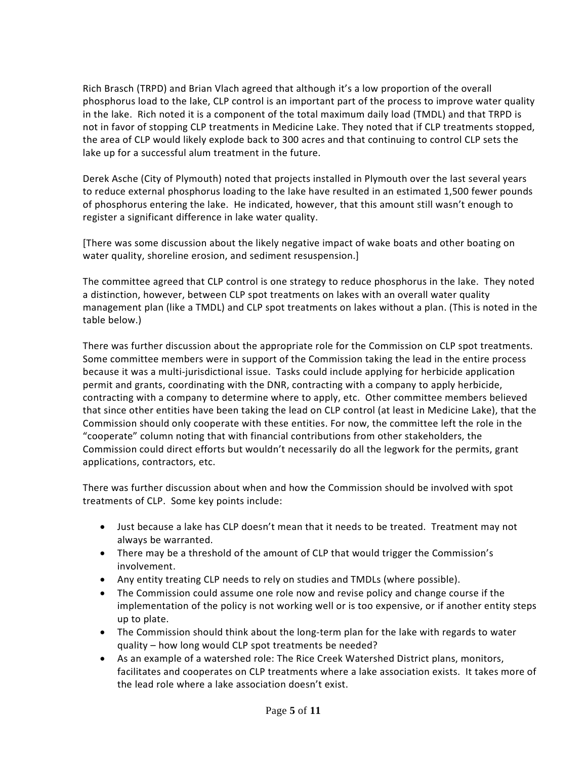Rich Brasch (TRPD) and Brian Vlach agreed that although it's a low proportion of the overall phosphorus load to the lake, CLP control is an important part of the process to improve water quality in the lake. Rich noted it is a component of the total maximum daily load (TMDL) and that TRPD is not in favor of stopping CLP treatments in Medicine Lake. They noted that if CLP treatments stopped, the area of CLP would likely explode back to 300 acres and that continuing to control CLP sets the lake up for a successful alum treatment in the future.

Derek Asche (City of Plymouth) noted that projects installed in Plymouth over the last several years to reduce external phosphorus loading to the lake have resulted in an estimated 1,500 fewer pounds of phosphorus entering the lake. He indicated, however, that this amount still wasn't enough to register a significant difference in lake water quality.

[There was some discussion about the likely negative impact of wake boats and other boating on water quality, shoreline erosion, and sediment resuspension.]

The committee agreed that CLP control is one strategy to reduce phosphorus in the lake. They noted a distinction, however, between CLP spot treatments on lakes with an overall water quality management plan (like a TMDL) and CLP spot treatments on lakes without a plan. (This is noted in the table below.)

There was further discussion about the appropriate role for the Commission on CLP spot treatments. Some committee members were in support of the Commission taking the lead in the entire process because it was a multi-jurisdictional issue. Tasks could include applying for herbicide application permit and grants, coordinating with the DNR, contracting with a company to apply herbicide, contracting with a company to determine where to apply, etc. Other committee members believed that since other entities have been taking the lead on CLP control (at least in Medicine Lake), that the Commission should only cooperate with these entities. For now, the committee left the role in the "cooperate" column noting that with financial contributions from other stakeholders, the Commission could direct efforts but wouldn't necessarily do all the legwork for the permits, grant applications, contractors, etc.

There was further discussion about when and how the Commission should be involved with spot treatments of CLP. Some key points include:

- Just because a lake has CLP doesn't mean that it needs to be treated. Treatment may not always be warranted.
- There may be a threshold of the amount of CLP that would trigger the Commission's involvement.
- Any entity treating CLP needs to rely on studies and TMDLs (where possible).
- The Commission could assume one role now and revise policy and change course if the implementation of the policy is not working well or is too expensive, or if another entity steps up to plate.
- The Commission should think about the long-term plan for the lake with regards to water quality – how long would CLP spot treatments be needed?
- As an example of a watershed role: The Rice Creek Watershed District plans, monitors, facilitates and cooperates on CLP treatments where a lake association exists. It takes more of the lead role where a lake association doesn't exist.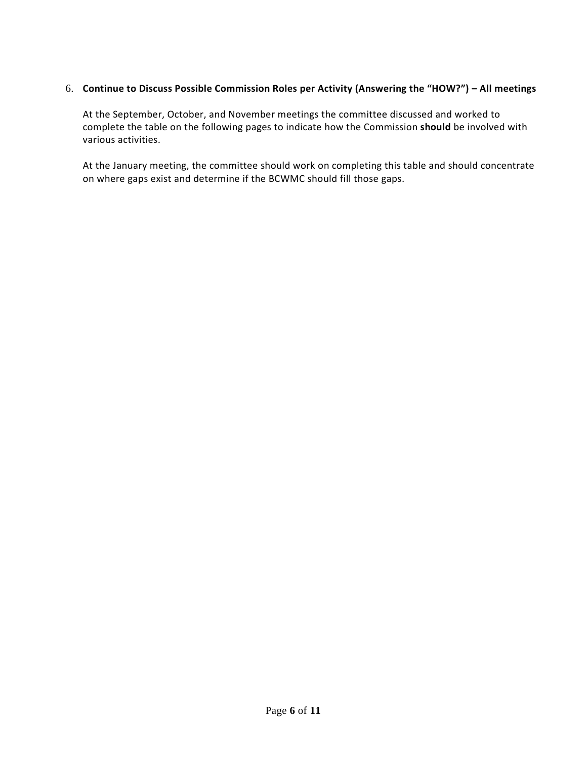#### 6. **Continue to Discuss Possible Commission Roles per Activity (Answering the "HOW?") – All meetings**

At the September, October, and November meetings the committee discussed and worked to complete the table on the following pages to indicate how the Commission **should** be involved with various activities.

At the January meeting, the committee should work on completing this table and should concentrate on where gaps exist and determine if the BCWMC should fill those gaps.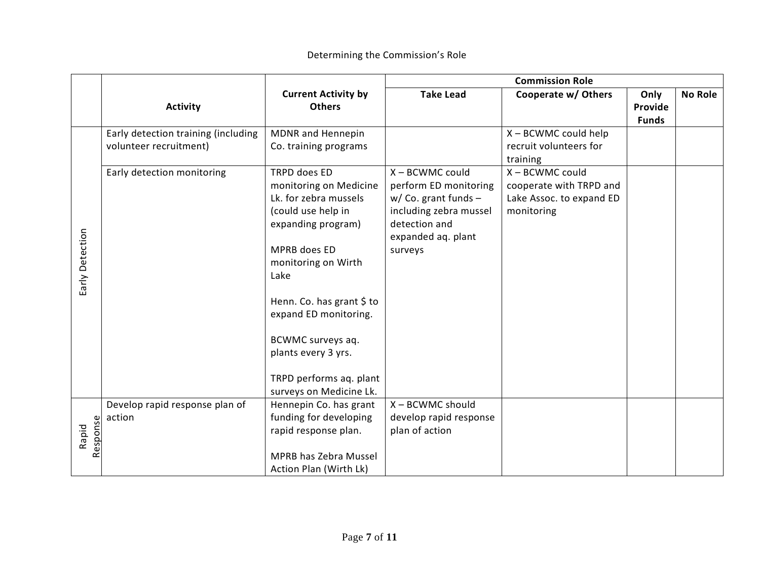|                   |                                                               |                                                                                                                                                                                                                                                                                                                    | <b>Commission Role</b>                                                                                                                         |                                                                                      |                                 |                |
|-------------------|---------------------------------------------------------------|--------------------------------------------------------------------------------------------------------------------------------------------------------------------------------------------------------------------------------------------------------------------------------------------------------------------|------------------------------------------------------------------------------------------------------------------------------------------------|--------------------------------------------------------------------------------------|---------------------------------|----------------|
|                   | <b>Activity</b>                                               | <b>Current Activity by</b><br><b>Others</b>                                                                                                                                                                                                                                                                        | <b>Take Lead</b>                                                                                                                               | Cooperate w/ Others                                                                  | Only<br>Provide<br><b>Funds</b> | <b>No Role</b> |
|                   | Early detection training (including<br>volunteer recruitment) | MDNR and Hennepin<br>Co. training programs                                                                                                                                                                                                                                                                         |                                                                                                                                                | X - BCWMC could help<br>recruit volunteers for<br>training                           |                                 |                |
| Early Detection   | Early detection monitoring                                    | TRPD does ED<br>monitoring on Medicine<br>Lk. for zebra mussels<br>(could use help in<br>expanding program)<br>MPRB does ED<br>monitoring on Wirth<br>Lake<br>Henn. Co. has grant \$ to<br>expand ED monitoring.<br>BCWMC surveys aq.<br>plants every 3 yrs.<br>TRPD performs aq. plant<br>surveys on Medicine Lk. | X - BCWMC could<br>perform ED monitoring<br>$w/$ Co. grant funds -<br>including zebra mussel<br>detection and<br>expanded aq. plant<br>surveys | X - BCWMC could<br>cooperate with TRPD and<br>Lake Assoc. to expand ED<br>monitoring |                                 |                |
| Response<br>Rapid | Develop rapid response plan of<br>action                      | Hennepin Co. has grant<br>funding for developing<br>rapid response plan.<br>MPRB has Zebra Mussel<br>Action Plan (Wirth Lk)                                                                                                                                                                                        | X - BCWMC should<br>develop rapid response<br>plan of action                                                                                   |                                                                                      |                                 |                |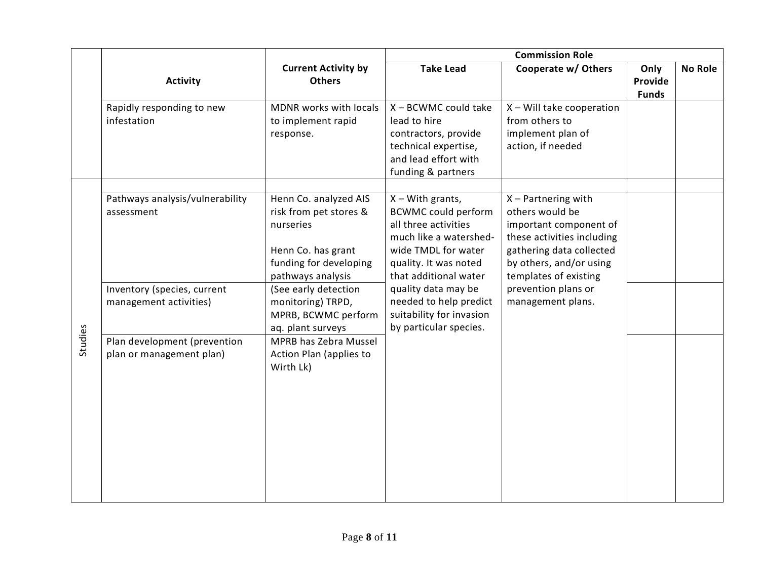|         |                                                          |                                                                                                                                   | <b>Commission Role</b>                                                                                                                                                      |                                                                                                                                                                                  |                                 |                |
|---------|----------------------------------------------------------|-----------------------------------------------------------------------------------------------------------------------------------|-----------------------------------------------------------------------------------------------------------------------------------------------------------------------------|----------------------------------------------------------------------------------------------------------------------------------------------------------------------------------|---------------------------------|----------------|
|         | <b>Activity</b>                                          | <b>Current Activity by</b><br><b>Others</b>                                                                                       | <b>Take Lead</b>                                                                                                                                                            | Cooperate w/ Others                                                                                                                                                              | Only<br>Provide<br><b>Funds</b> | <b>No Role</b> |
|         | Rapidly responding to new<br>infestation                 | MDNR works with locals<br>to implement rapid<br>response.                                                                         | X - BCWMC could take<br>lead to hire<br>contractors, provide<br>technical expertise,<br>and lead effort with<br>funding & partners                                          | $X -$ Will take cooperation<br>from others to<br>implement plan of<br>action, if needed                                                                                          |                                 |                |
|         | Pathways analysis/vulnerability<br>assessment            | Henn Co. analyzed AIS<br>risk from pet stores &<br>nurseries<br>Henn Co. has grant<br>funding for developing<br>pathways analysis | $X - With$ grants,<br><b>BCWMC could perform</b><br>all three activities<br>much like a watershed-<br>wide TMDL for water<br>quality. It was noted<br>that additional water | $X$ – Partnering with<br>others would be<br>important component of<br>these activities including<br>gathering data collected<br>by others, and/or using<br>templates of existing |                                 |                |
|         | Inventory (species, current<br>management activities)    | (See early detection<br>monitoring) TRPD,<br>MPRB, BCWMC perform<br>aq. plant surveys                                             | quality data may be<br>needed to help predict<br>suitability for invasion<br>by particular species.                                                                         | prevention plans or<br>management plans.                                                                                                                                         |                                 |                |
| Studies | Plan development (prevention<br>plan or management plan) | MPRB has Zebra Mussel<br>Action Plan (applies to<br>Wirth Lk)                                                                     |                                                                                                                                                                             |                                                                                                                                                                                  |                                 |                |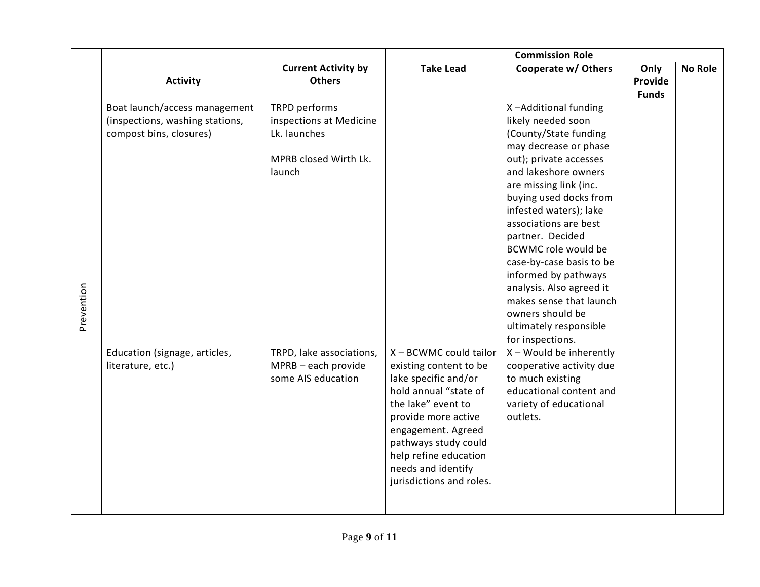|            |                                                                                             |                                                                                             | <b>Commission Role</b>                                                                                                                                                                                                                                                  |                                                                                                                                                                                                                                                                                                                                                                                                                                                                               |                                 |                |
|------------|---------------------------------------------------------------------------------------------|---------------------------------------------------------------------------------------------|-------------------------------------------------------------------------------------------------------------------------------------------------------------------------------------------------------------------------------------------------------------------------|-------------------------------------------------------------------------------------------------------------------------------------------------------------------------------------------------------------------------------------------------------------------------------------------------------------------------------------------------------------------------------------------------------------------------------------------------------------------------------|---------------------------------|----------------|
|            | <b>Activity</b>                                                                             | <b>Current Activity by</b><br><b>Others</b>                                                 | <b>Take Lead</b>                                                                                                                                                                                                                                                        | Cooperate w/ Others                                                                                                                                                                                                                                                                                                                                                                                                                                                           | Only<br>Provide<br><b>Funds</b> | <b>No Role</b> |
| Prevention | Boat launch/access management<br>(inspections, washing stations,<br>compost bins, closures) | TRPD performs<br>inspections at Medicine<br>Lk. launches<br>MPRB closed Wirth Lk.<br>launch |                                                                                                                                                                                                                                                                         | X-Additional funding<br>likely needed soon<br>(County/State funding<br>may decrease or phase<br>out); private accesses<br>and lakeshore owners<br>are missing link (inc.<br>buying used docks from<br>infested waters); lake<br>associations are best<br>partner. Decided<br>BCWMC role would be<br>case-by-case basis to be<br>informed by pathways<br>analysis. Also agreed it<br>makes sense that launch<br>owners should be<br>ultimately responsible<br>for inspections. |                                 |                |
|            | Education (signage, articles,<br>literature, etc.)                                          | TRPD, lake associations,<br>MPRB - each provide<br>some AIS education                       | X - BCWMC could tailor<br>existing content to be<br>lake specific and/or<br>hold annual "state of<br>the lake" event to<br>provide more active<br>engagement. Agreed<br>pathways study could<br>help refine education<br>needs and identify<br>jurisdictions and roles. | $X$ – Would be inherently<br>cooperative activity due<br>to much existing<br>educational content and<br>variety of educational<br>outlets.                                                                                                                                                                                                                                                                                                                                    |                                 |                |
|            |                                                                                             |                                                                                             |                                                                                                                                                                                                                                                                         |                                                                                                                                                                                                                                                                                                                                                                                                                                                                               |                                 |                |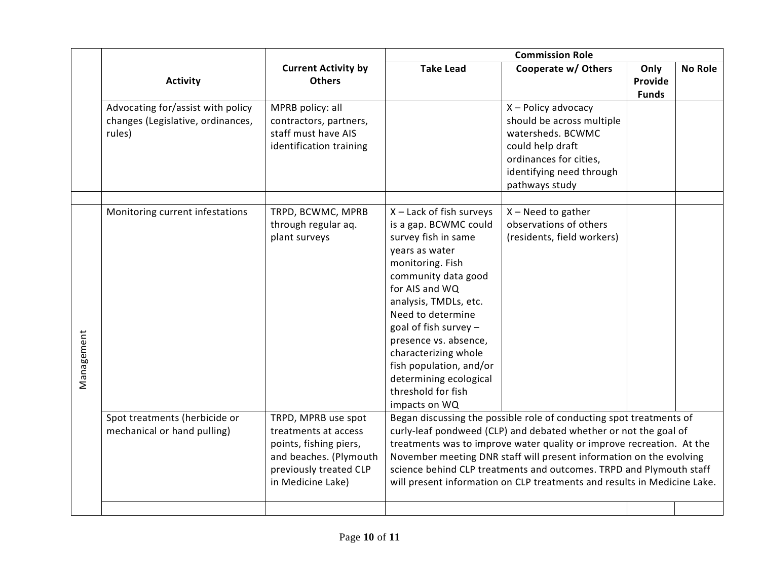|            |                                                                                  |                                                                                                                                                                                                                                                                                                                                                                                                                                                                                                                                                                                              | <b>Commission Role</b>                                                                                                                                                                                                                                                                                                                                                      |                                                                                                                                                                   |                                 |                |
|------------|----------------------------------------------------------------------------------|----------------------------------------------------------------------------------------------------------------------------------------------------------------------------------------------------------------------------------------------------------------------------------------------------------------------------------------------------------------------------------------------------------------------------------------------------------------------------------------------------------------------------------------------------------------------------------------------|-----------------------------------------------------------------------------------------------------------------------------------------------------------------------------------------------------------------------------------------------------------------------------------------------------------------------------------------------------------------------------|-------------------------------------------------------------------------------------------------------------------------------------------------------------------|---------------------------------|----------------|
|            | <b>Activity</b>                                                                  | <b>Current Activity by</b><br><b>Others</b>                                                                                                                                                                                                                                                                                                                                                                                                                                                                                                                                                  | <b>Take Lead</b>                                                                                                                                                                                                                                                                                                                                                            | Cooperate w/ Others                                                                                                                                               | Only<br>Provide<br><b>Funds</b> | <b>No Role</b> |
|            | Advocating for/assist with policy<br>changes (Legislative, ordinances,<br>rules) | MPRB policy: all<br>contractors, partners,<br>staff must have AIS<br>identification training                                                                                                                                                                                                                                                                                                                                                                                                                                                                                                 |                                                                                                                                                                                                                                                                                                                                                                             | X - Policy advocacy<br>should be across multiple<br>watersheds. BCWMC<br>could help draft<br>ordinances for cities,<br>identifying need through<br>pathways study |                                 |                |
| Management | Monitoring current infestations                                                  | TRPD, BCWMC, MPRB<br>through regular aq.<br>plant surveys                                                                                                                                                                                                                                                                                                                                                                                                                                                                                                                                    | X - Lack of fish surveys<br>is a gap. BCWMC could<br>survey fish in same<br>years as water<br>monitoring. Fish<br>community data good<br>for AIS and WQ<br>analysis, TMDLs, etc.<br>Need to determine<br>goal of fish survey -<br>presence vs. absence,<br>characterizing whole<br>fish population, and/or<br>determining ecological<br>threshold for fish<br>impacts on WQ | $X - Need$ to gather<br>observations of others<br>(residents, field workers)                                                                                      |                                 |                |
|            | Spot treatments (herbicide or<br>mechanical or hand pulling)                     | TRPD, MPRB use spot<br>Began discussing the possible role of conducting spot treatments of<br>curly-leaf pondweed (CLP) and debated whether or not the goal of<br>treatments at access<br>treatments was to improve water quality or improve recreation. At the<br>points, fishing piers,<br>and beaches. (Plymouth<br>November meeting DNR staff will present information on the evolving<br>previously treated CLP<br>science behind CLP treatments and outcomes. TRPD and Plymouth staff<br>in Medicine Lake)<br>will present information on CLP treatments and results in Medicine Lake. |                                                                                                                                                                                                                                                                                                                                                                             |                                                                                                                                                                   |                                 |                |
|            |                                                                                  |                                                                                                                                                                                                                                                                                                                                                                                                                                                                                                                                                                                              |                                                                                                                                                                                                                                                                                                                                                                             |                                                                                                                                                                   |                                 |                |